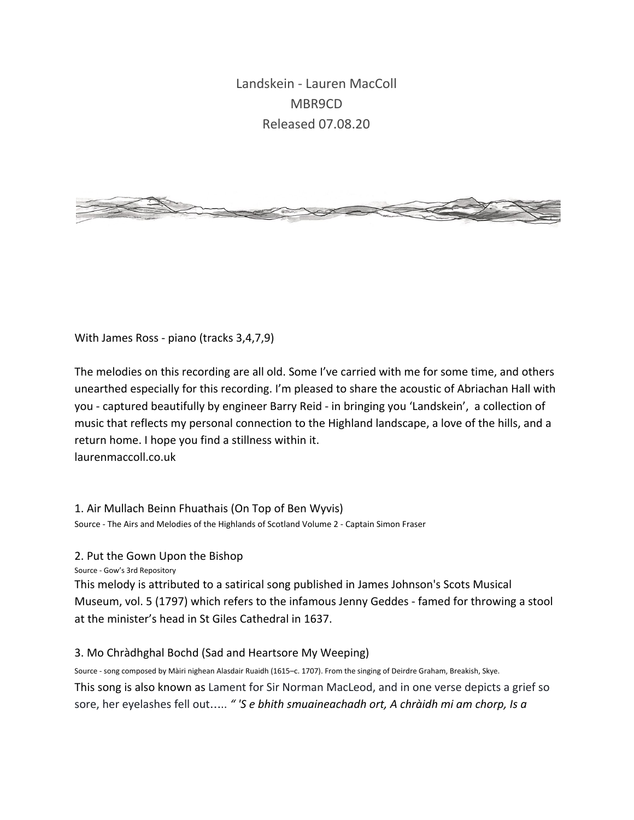Landskein - Lauren MacColl MBR9CD Released 07.08.20



With James Ross - piano (tracks 3,4,7,9)

The melodies on this recording are all old. Some I've carried with me for some time, and others unearthed especially for this recording. I'm pleased to share the acoustic of Abriachan Hall with you - captured beautifully by engineer Barry Reid - in bringing you 'Landskein', a collection of music that reflects my personal connection to the Highland landscape, a love of the hills, and a return home. I hope you find a stillness within it.

laurenmaccoll.co.uk

1. Air Mullach Beinn Fhuathais (On Top of Ben Wyvis)

Source - The Airs and Melodies of the Highlands of Scotland Volume 2 - Captain Simon Fraser

2. Put the Gown Upon the Bishop

Source - Gow's 3rd Repository

This melody is attributed to a satirical song published in James Johnson's Scots Musical Museum, vol. 5 (1797) which refers to the infamous Jenny Geddes - famed for throwing a stool at the minister's head in St Giles Cathedral in 1637.

## 3. Mo Chràdhghal Bochd (Sad and Heartsore My Weeping)

Source - song composed by Màiri nighean Alasdair Ruaidh (1615–c. 1707). From the singing of Deirdre Graham, Breakish, Skye. This song is also known as Lament for Sir Norman MacLeod, and in one verse depicts a grief so sore, her eyelashes fell out….. *" 'S e bhith smuaineachadh ort, A chràidh mi am chorp, Is a*